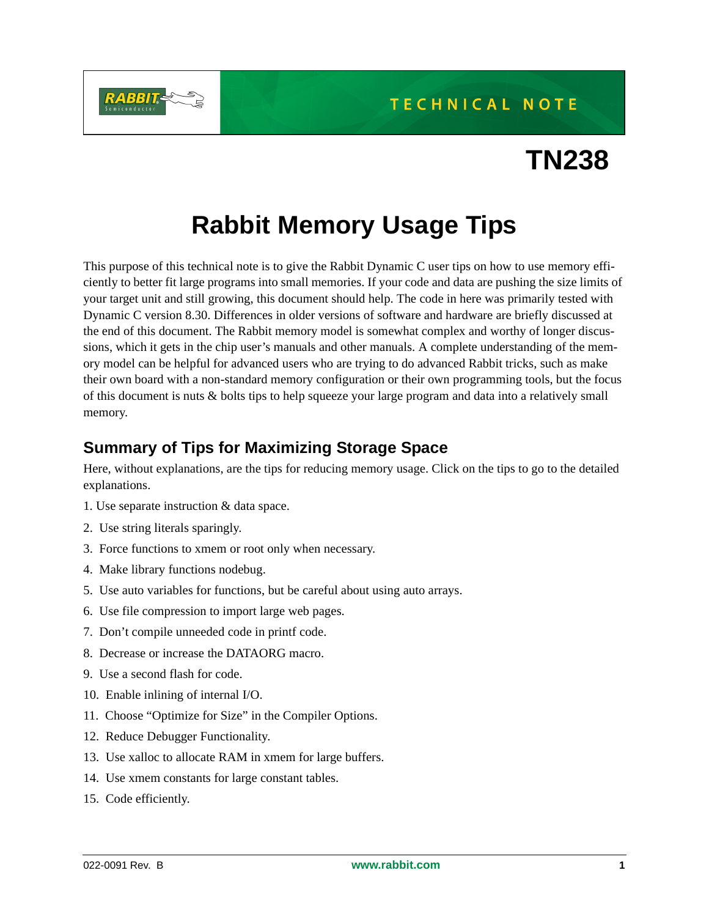**TECHNICAL NOTE** 



# **TN238**

# **Rabbit Memory Usage Tips**

This purpose of this technical note is to give the Rabbit Dynamic C user tips on how to use memory efficiently to better fit large programs into small memories. If your code and data are pushing the size limits of your target unit and still growing, this document should help. The code in here was primarily tested with Dynamic C version 8.30. Differences in older versions of software and hardware are briefly discussed at the end of this document. The Rabbit memory model is somewhat complex and worthy of longer discussions, which it gets in the chip user's manuals and other manuals. A complete understanding of the memory model can be helpful for advanced users who are trying to do advanced Rabbit tricks, such as make their own board with a non-standard memory configuration or their own programming tools, but the focus of this document is nuts & bolts tips to help squeeze your large program and data into a relatively small memory.

# **Summary of Tips for Maximizing Storage Space**

Here, without explanations, are the tips for reducing memory usage. Click on the tips to go to the detailed explanations.

- <span id="page-0-0"></span>1. [Use separate instruction & data space.](#page-3-0)
- <span id="page-0-13"></span>2. [Use string literals sparingly.](#page-3-1)
- <span id="page-0-1"></span>3. [Force functions to xmem or root only when necessary.](#page-4-0)
- <span id="page-0-6"></span>4. [Make library functions nodebug.](#page-4-1)
- <span id="page-0-3"></span>5. [Use auto variables](#page-4-2) for functions, but be careful about using auto arrays.
- <span id="page-0-7"></span>6. [Use file compression to import large web pages.](#page-5-0)
- <span id="page-0-8"></span>7. [Don't compile unneeded code in printf code.](#page-5-1)
- <span id="page-0-2"></span>8. [Decrease or increase the DATAORG macro.](#page-5-2)
- <span id="page-0-9"></span>9. [Use a second flash for code.](#page-5-3)
- <span id="page-0-10"></span>10. [Enable inlining of internal I/O.](#page-6-0)
- <span id="page-0-11"></span>11. [Choose "Optimize for Size" in the Compiler Options.](#page-6-1)
- <span id="page-0-4"></span>12. [Reduce Debugger Functionality.](#page-6-2)
- <span id="page-0-5"></span>13. [Use xalloc to allocate RAM in xmem for large buffers](#page-6-3).
- <span id="page-0-14"></span>14. [Use xmem constants for large constant tables.](#page-6-4)
- <span id="page-0-12"></span>15. [Code efficiently.](#page-7-0)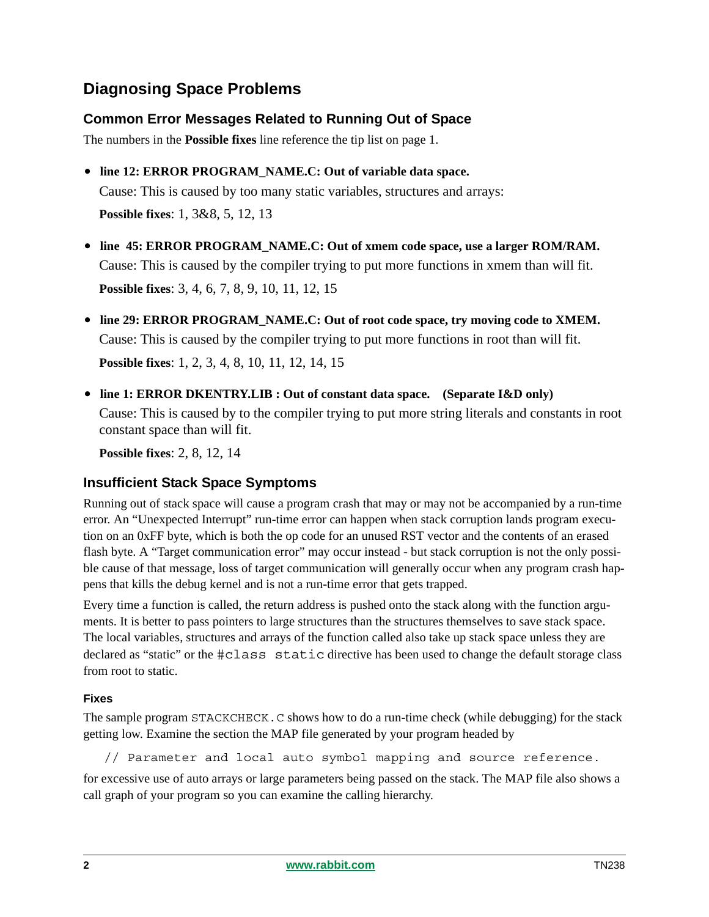# **Diagnosing Space Problems**

# **Common Error Messages Related to Running Out of Space**

The numbers in the **Possible fixes** line reference the tip list on page 1.

- **line 12: ERROR PROGRAM\_NAME.C: Out of variable data space.**  Cause: This is caused by too many static variables, structures and arrays: **Possible fixes**: [1,](#page-0-0) [3&](#page-0-1)[8](#page-0-2), [5](#page-0-3), [12](#page-0-4), [13](#page-0-5)
- **line 45: ERROR PROGRAM\_NAME.C: Out of xmem code space, use a larger ROM/RAM.** Cause: This is caused by the compiler trying to put more functions in xmem than will fit. **Possible fixes**: [3,](#page-0-1) [4,](#page-0-6) [6,](#page-0-7) [7,](#page-0-8) [8,](#page-0-2) [9,](#page-0-9) [10,](#page-0-10) [11](#page-0-11), [12](#page-0-4), [15](#page-0-12)
- **line 29: ERROR PROGRAM\_NAME.C: Out of root code space, try moving code to XMEM.** Cause: This is caused by the compiler trying to put more functions in root than will fit. **Possible fixes**: [1,](#page-0-0) [2,](#page-0-13) [3,](#page-0-1) [4,](#page-0-6) [8,](#page-0-2) [10,](#page-0-10) [11](#page-0-11), [12](#page-0-4), [14](#page-0-14), [15](#page-0-12)
- **line 1: ERROR DKENTRY.LIB : Out of constant data space. (Separate I&D only)** Cause: This is caused by to the compiler trying to put more string literals and constants in root constant space than will fit.

**Possible fixes**: [2,](#page-0-13) [8,](#page-0-2) [12,](#page-0-4) [14](#page-0-14) 

# **Insufficient Stack Space Symptoms**

Running out of stack space will cause a program crash that may or may not be accompanied by a run-time error. An "Unexpected Interrupt" run-time error can happen when stack corruption lands program execution on an 0xFF byte, which is both the op code for an unused RST vector and the contents of an erased flash byte. A "Target communication error" may occur instead - but stack corruption is not the only possible cause of that message, loss of target communication will generally occur when any program crash happens that kills the debug kernel and is not a run-time error that gets trapped.

Every time a function is called, the return address is pushed onto the stack along with the function arguments. It is better to pass pointers to large structures than the structures themselves to save stack space. The local variables, structures and arrays of the function called also take up stack space unless they are declared as "static" or the #class static directive has been used to change the default storage class from root to static.

#### **Fixes**

The sample program STACKCHECK.C shows how to do a run-time check (while debugging) for the stack getting low. Examine the section the MAP file generated by your program headed by

// Parameter and local auto symbol mapping and source reference.

for excessive use of auto arrays or large parameters being passed on the stack. The MAP file also shows a call graph of your program so you can examine the calling hierarchy.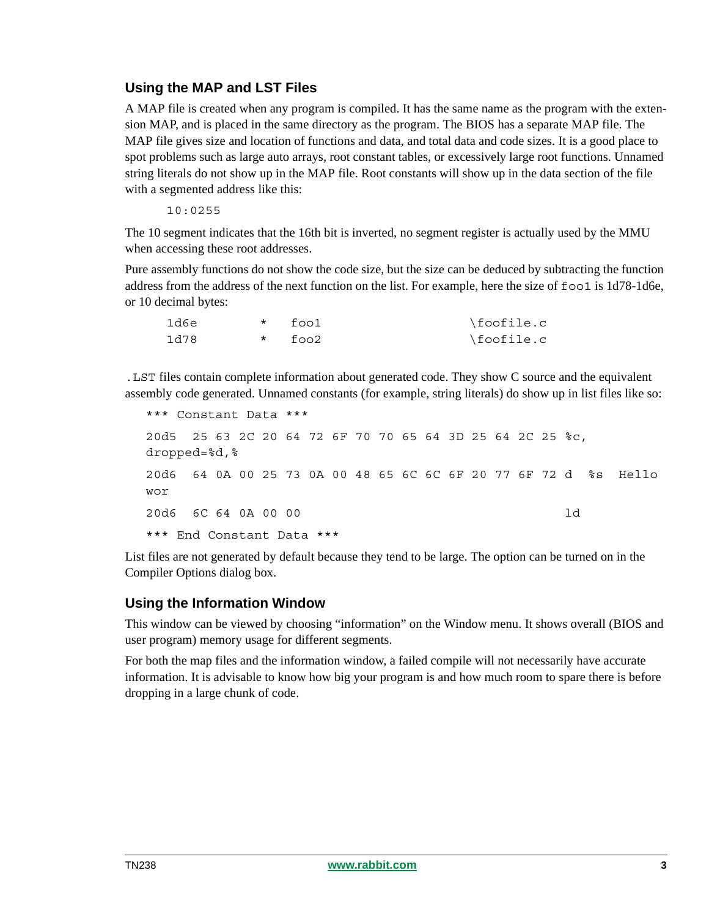# **Using the MAP and LST Files**

A MAP file is created when any program is compiled. It has the same name as the program with the extension MAP, and is placed in the same directory as the program. The BIOS has a separate MAP file. The MAP file gives size and location of functions and data, and total data and code sizes. It is a good place to spot problems such as large auto arrays, root constant tables, or excessively large root functions. Unnamed string literals do not show up in the MAP file. Root constants will show up in the data section of the file with a segmented address like this:

10:0255

The 10 segment indicates that the 16th bit is inverted, no segment register is actually used by the MMU when accessing these root addresses.

Pure assembly functions do not show the code size, but the size can be deduced by subtracting the function address from the address of the next function on the list. For example, here the size of foo1 is 1d78-1d6e, or 10 decimal bytes:

| 1d6e | $*$ fool | \foofile.c |
|------|----------|------------|
| 1d78 | $*$ foo2 | \foofile.c |

.LST files contain complete information about generated code. They show C source and the equivalent assembly code generated. Unnamed constants (for example, string literals) do show up in list files like so:

```
*** Constant Data ***
20d5 25 63 2C 20 64 72 6F 70 70 65 64 3D 25 64 2C 25 %c, 
dropped=%d,%
20d6 64 0A 00 25 73 0A 00 48 65 6C 6C 6F 20 77 6F 72 d %s Hello 
wor
20d6 6C 64 0A 00 00 ld
*** End Constant Data ***
```
List files are not generated by default because they tend to be large. The option can be turned on in the Compiler Options dialog box.

# **Using the Information Window**

This window can be viewed by choosing "information" on the Window menu. It shows overall (BIOS and user program) memory usage for different segments.

For both the map files and the information window, a failed compile will not necessarily have accurate information. It is advisable to know how big your program is and how much room to spare there is before dropping in a large chunk of code.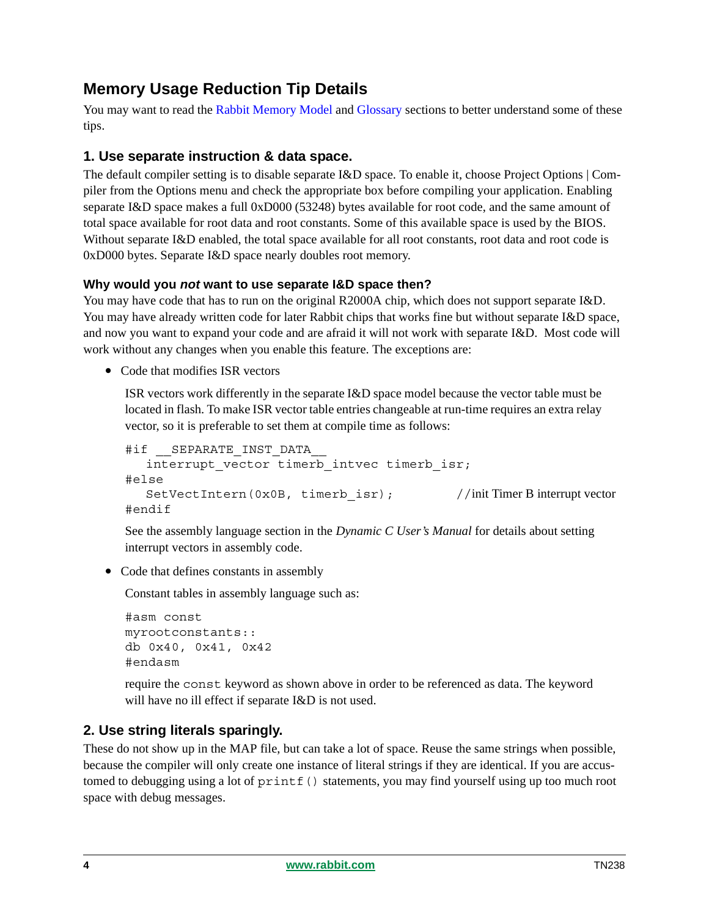# **Memory Usage Reduction Tip Details**

You may want to read the [Rabbit Memory Model](#page-12-0) and [Glossary](#page-10-0) sections to better understand some of these tips.

# <span id="page-3-0"></span>**1. Use separate instruction & data space.**

The default compiler setting is to disable separate I&D space. To enable it, choose Project Options | Compiler from the Options menu and check the appropriate box before compiling your application. Enabling separate I&D space makes a full 0xD000 (53248) bytes available for root code, and the same amount of total space available for root data and root constants. Some of this available space is used by the BIOS. Without separate I&D enabled, the total space available for all root constants, root data and root code is 0xD000 bytes. Separate I&D space nearly doubles root memory.

## **Why would you** *not* **want to use separate I&D space then?**

You may have code that has to run on the original R2000A chip, which does not support separate I&D. You may have already written code for later Rabbit chips that works fine but without separate I&D space, and now you want to expand your code and are afraid it will not work with separate I&D. Most code will work without any changes when you enable this feature. The exceptions are:

**•** Code that modifies ISR vectors

ISR vectors work differently in the separate I&D space model because the vector table must be located in flash. To make ISR vector table entries changeable at run-time requires an extra relay vector, so it is preferable to set them at compile time as follows:

```
#if GEPARATE INST DATA
  interrupt_vector timerb_intvec timerb_isr;
#else
  SetVectIntern(0x0B, timerb isr); //init Timer B interrupt vector
#endif
```
See the assembly language section in the *Dynamic C User's Manual* for details about setting interrupt vectors in assembly code.

**•** Code that defines constants in assembly

Constant tables in assembly language such as:

```
#asm const
myrootconstants::
db 0x40, 0x41, 0x42
#endasm
```
require the const keyword as shown above in order to be referenced as data. The keyword will have no ill effect if separate I&D is not used.

# <span id="page-3-1"></span>**2. Use string literals sparingly.**

These do not show up in the MAP file, but can take a lot of space. Reuse the same strings when possible, because the compiler will only create one instance of literal strings if they are identical. If you are accustomed to debugging using a lot of printf() statements, you may find yourself using up too much root space with debug messages.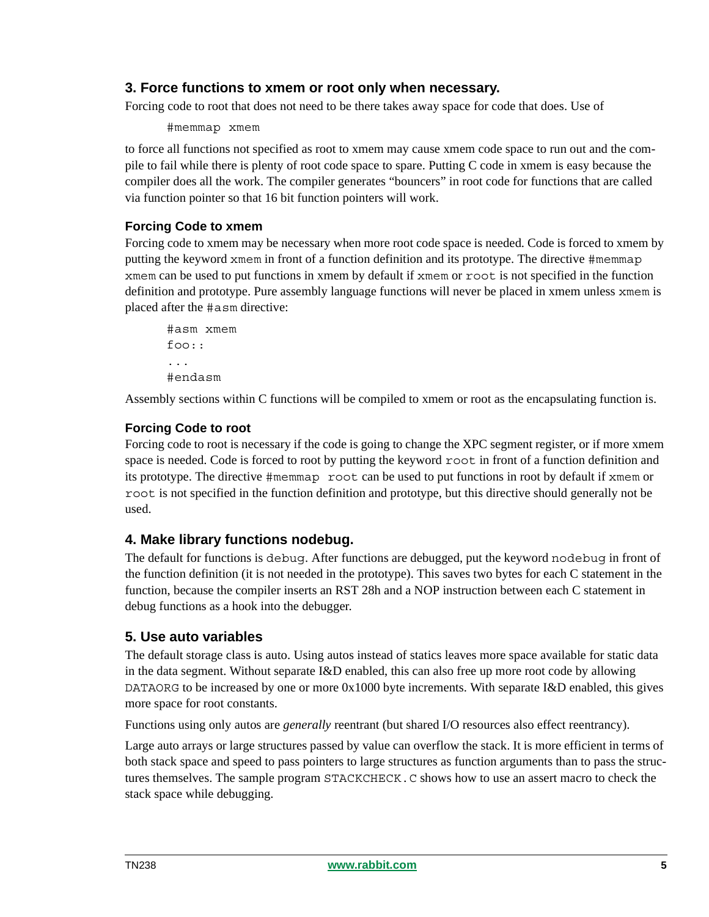# <span id="page-4-0"></span>**3. Force functions to xmem or root only when necessary.**

Forcing code to root that does not need to be there takes away space for code that does. Use of

#memmap xmem

to force all functions not specified as root to xmem may cause xmem code space to run out and the compile to fail while there is plenty of root code space to spare. Putting C code in xmem is easy because the compiler does all the work. The compiler generates "bouncers" in root code for functions that are called via function pointer so that 16 bit function pointers will work.

## **Forcing Code to xmem**

Forcing code to xmem may be necessary when more root code space is needed. Code is forced to xmem by putting the keyword xmem in front of a function definition and its prototype. The directive #memmap xmem can be used to put functions in xmem by default if xmem or root is not specified in the function definition and prototype. Pure assembly language functions will never be placed in xmem unless xmem is placed after the #asm directive:

```
#asm xmem
foo::
...
#endasm
```
Assembly sections within C functions will be compiled to xmem or root as the encapsulating function is.

## **Forcing Code to root**

Forcing code to root is necessary if the code is going to change the XPC segment register, or if more xmem space is needed. Code is forced to root by putting the keyword root in front of a function definition and its prototype. The directive #memmap root can be used to put functions in root by default if xmem or root is not specified in the function definition and prototype, but this directive should generally not be used.

# <span id="page-4-1"></span>**4. Make library functions nodebug.**

The default for functions is debug. After functions are debugged, put the keyword nodebug in front of the function definition (it is not needed in the prototype). This saves two bytes for each C statement in the function, because the compiler inserts an RST 28h and a NOP instruction between each C statement in debug functions as a hook into the debugger.

# <span id="page-4-2"></span>**5. Use auto variables**

The default storage class is auto. Using autos instead of statics leaves more space available for static data in the data segment. Without separate I&D enabled, this can also free up more root code by allowing DATAORG to be increased by one or more 0x1000 byte increments. With separate I&D enabled, this gives more space for root constants.

Functions using only autos are *generally* reentrant (but shared I/O resources also effect reentrancy).

Large auto arrays or large structures passed by value can overflow the stack. It is more efficient in terms of both stack space and speed to pass pointers to large structures as function arguments than to pass the structures themselves. The sample program STACKCHECK.C shows how to use an assert macro to check the stack space while debugging.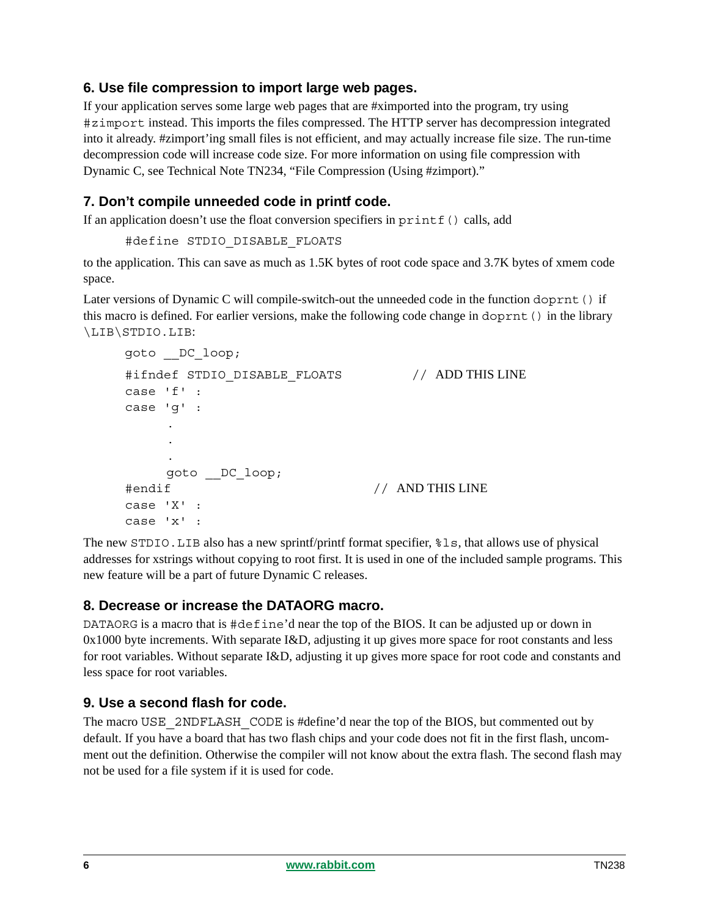# <span id="page-5-0"></span>**6. Use file compression to import large web pages.**

If your application serves some large web pages that are #ximported into the program, try using #zimport instead. This imports the files compressed. The HTTP server has decompression integrated into it already. #zimport'ing small files is not efficient, and may actually increase file size. The run-time decompression code will increase code size. For more information on using file compression with Dynamic C, see Technical Note TN234, "File Compression (Using #zimport)."

# <span id="page-5-1"></span>**7. Don't compile unneeded code in printf code.**

If an application doesn't use the float conversion specifiers in  $print f()$  calls, add

```
#define STDIO_DISABLE_FLOATS
```
to the application. This can save as much as 1.5K bytes of root code space and 3.7K bytes of xmem code space.

Later versions of Dynamic C will compile-switch-out the unneeded code in the function doprnt() if this macro is defined. For earlier versions, make the following code change in doprnt() in the library \LIB\STDIO.LIB:

```
goto __DC_loop;
#ifndef STDIO DISABLE FLOATS // ADD THIS LINE
case 'f' :
case 'g' :
     .
     .
     .
    goto __DC_loop;
#endif // AND THIS LINE
case 'X' :
case 'x' :
```
The new STDIO.LIB also has a new sprintf/printf format specifier, %ls, that allows use of physical addresses for xstrings without copying to root first. It is used in one of the included sample programs. This new feature will be a part of future Dynamic C releases.

# <span id="page-5-2"></span>**8. Decrease or increase the DATAORG macro.**

DATAORG is a macro that is #define'd near the top of the BIOS. It can be adjusted up or down in 0x1000 byte increments. With separate I&D, adjusting it up gives more space for root constants and less for root variables. Without separate I&D, adjusting it up gives more space for root code and constants and less space for root variables.

# <span id="page-5-3"></span>**9. Use a second flash for code.**

The macro USE 2NDFLASH CODE is #define'd near the top of the BIOS, but commented out by default. If you have a board that has two flash chips and your code does not fit in the first flash, uncomment out the definition. Otherwise the compiler will not know about the extra flash. The second flash may not be used for a file system if it is used for code.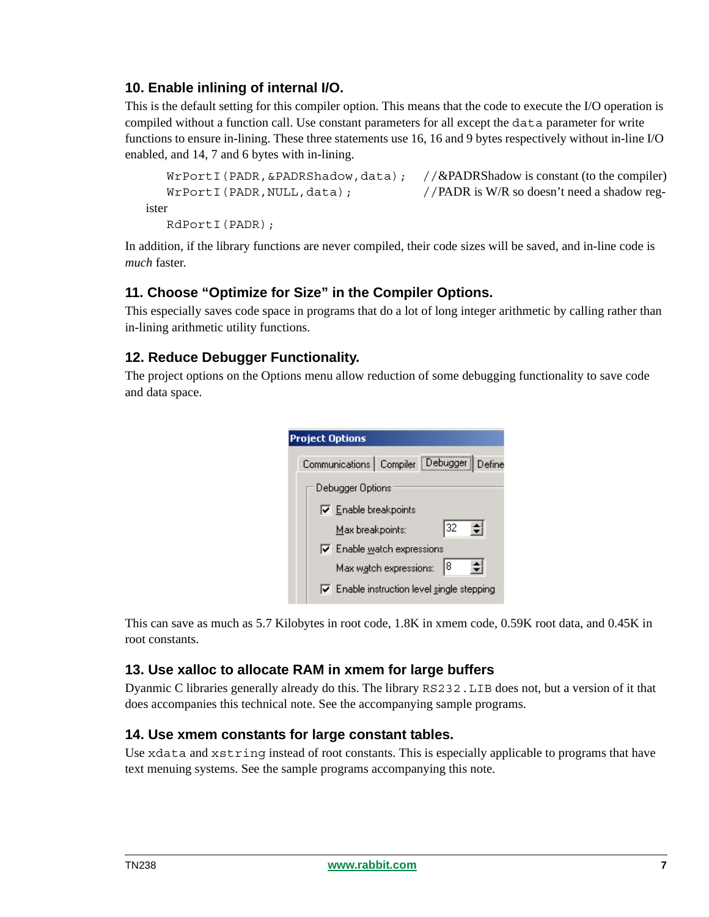# <span id="page-6-0"></span>**10. Enable inlining of internal I/O.**

This is the default setting for this compiler option. This means that the code to execute the I/O operation is compiled without a function call. Use constant parameters for all except the data parameter for write functions to ensure in-lining. These three statements use 16, 16 and 9 bytes respectively without in-line I/O enabled, and 14, 7 and 6 bytes with in-lining.

```
WrPortI(PADR, &PADRShadow, data); //\&PADRShadow is constant (to the compiler)
   WrPortI(PADR, NULL, data); //PADR is W/R so doesn't need a shadow reg-
ister
   RdPortI(PADR);
```
In addition, if the library functions are never compiled, their code sizes will be saved, and in-line code is *much* faster.

# <span id="page-6-1"></span>**11. Choose "Optimize for Size" in the Compiler Options.**

This especially saves code space in programs that do a lot of long integer arithmetic by calling rather than in-lining arithmetic utility functions.

# <span id="page-6-2"></span>**12. Reduce Debugger Functionality.**

The project options on the Options menu allow reduction of some debugging functionality to save code and data space.



This can save as much as 5.7 Kilobytes in root code, 1.8K in xmem code, 0.59K root data, and 0.45K in root constants.

#### <span id="page-6-3"></span>**13. Use xalloc to allocate RAM in xmem for large buffers**

Dyanmic C libraries generally already do this. The library RS232.LIB does not, but a version of it that does accompanies this technical note. See the accompanying sample programs.

# <span id="page-6-4"></span>**14. Use xmem constants for large constant tables.**

Use xdata and xstring instead of root constants. This is especially applicable to programs that have text menuing systems. See the sample programs accompanying this note.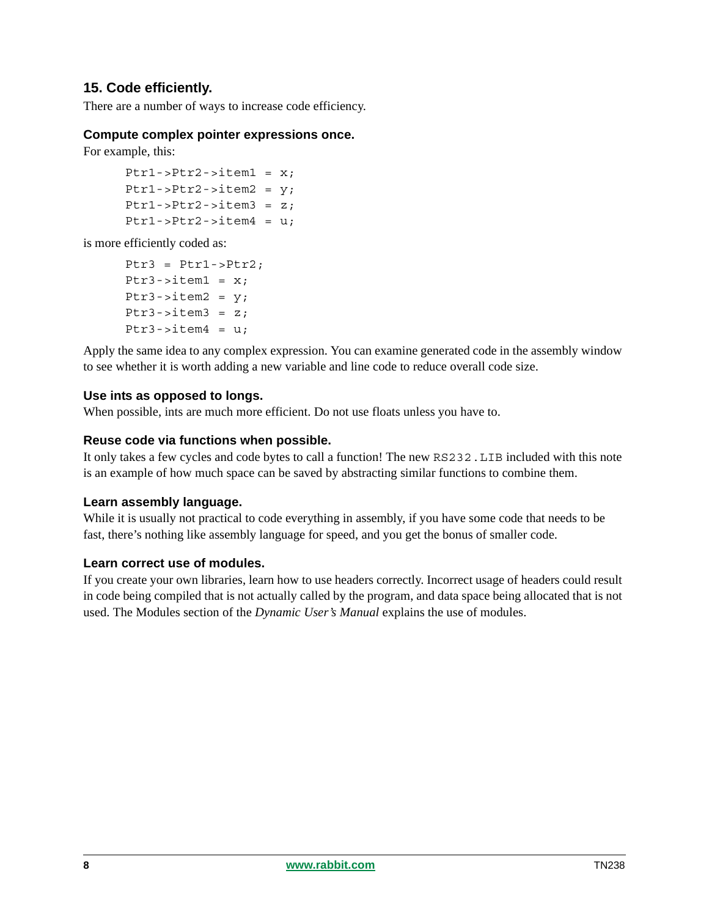# <span id="page-7-0"></span>**15. Code efficiently.**

There are a number of ways to increase code efficiency.

#### **Compute complex pointer expressions once.**

For example, this:

```
Ptr1-Ptr2-|intem1 = x;Ptr1 - Ptr2 - 3item2 = y;
Ptr1->Ptr2->item3 = z;Ptr1->Ptr2->item4 = u;
```
is more efficiently coded as:

```
Ptr3 = Ptr1 - Ptr2:
Ptr3->item1 = x;
Ptr3 - item2 = y;
Ptr3 - item3 = z;
Ptr3->item4 = u;
```
Apply the same idea to any complex expression. You can examine generated code in the assembly window to see whether it is worth adding a new variable and line code to reduce overall code size.

#### **Use ints as opposed to longs.**

When possible, ints are much more efficient. Do not use floats unless you have to.

#### **Reuse code via functions when possible.**

It only takes a few cycles and code bytes to call a function! The new RS232.LIB included with this note is an example of how much space can be saved by abstracting similar functions to combine them.

#### **Learn assembly language.**

While it is usually not practical to code everything in assembly, if you have some code that needs to be fast, there's nothing like assembly language for speed, and you get the bonus of smaller code.

#### **Learn correct use of modules.**

If you create your own libraries, learn how to use headers correctly. Incorrect usage of headers could result in code being compiled that is not actually called by the program, and data space being allocated that is not used. The Modules section of the *Dynamic User's Manual* explains the use of modules.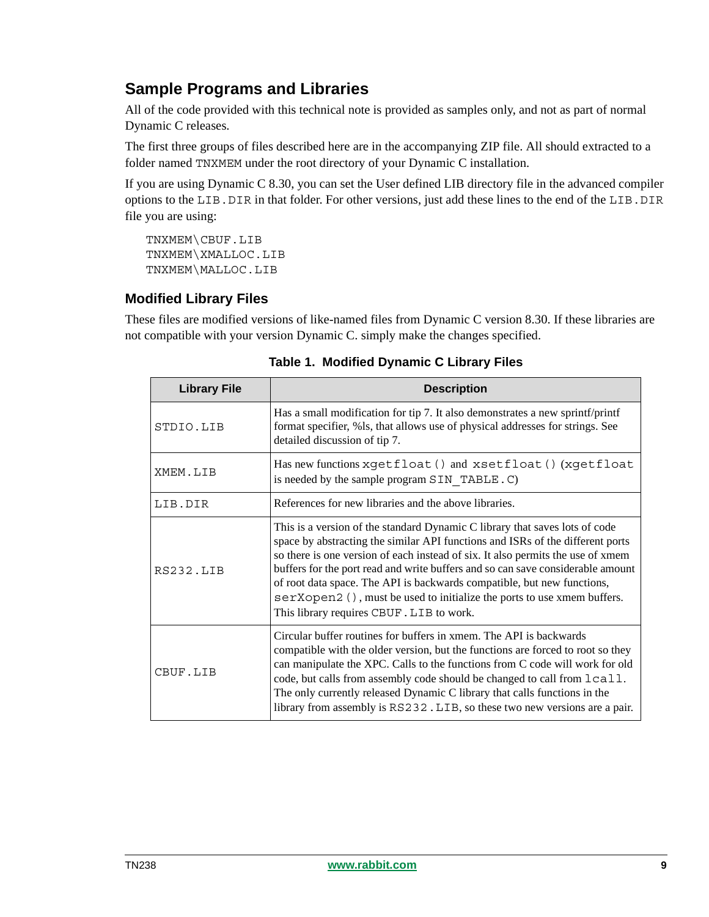# **Sample Programs and Libraries**

All of the code provided with this technical note is provided as samples only, and not as part of normal Dynamic C releases.

The first three groups of files described here are in the accompanying ZIP file. All should extracted to a folder named TNXMEM under the root directory of your Dynamic C installation.

If you are using Dynamic C 8.30, you can set the User defined LIB directory file in the advanced compiler options to the LIB.DIR in that folder. For other versions, just add these lines to the end of the LIB.DIR file you are using:

TNXMEM\CBUF.LIB TNXMEM\XMALLOC.LIB TNXMEM\MALLOC.LIB

# **Modified Library Files**

These files are modified versions of like-named files from Dynamic C version 8.30. If these libraries are not compatible with your version Dynamic C. simply make the changes specified.

| <b>Library File</b> | <b>Description</b>                                                                                                                                                                                                                                                                                                                                                                                                                                                                                                                    |
|---------------------|---------------------------------------------------------------------------------------------------------------------------------------------------------------------------------------------------------------------------------------------------------------------------------------------------------------------------------------------------------------------------------------------------------------------------------------------------------------------------------------------------------------------------------------|
| STDIO.LIB           | Has a small modification for tip 7. It also demonstrates a new sprintf/printf<br>format specifier, %ls, that allows use of physical addresses for strings. See<br>detailed discussion of tip 7.                                                                                                                                                                                                                                                                                                                                       |
| XMEM.LIB            | Has new functions xgetfloat () and xsetfloat () (xgetfloat<br>is needed by the sample program SIN TABLE. C)                                                                                                                                                                                                                                                                                                                                                                                                                           |
| LIB.DIR             | References for new libraries and the above libraries.                                                                                                                                                                                                                                                                                                                                                                                                                                                                                 |
| <b>RS232.IJB</b>    | This is a version of the standard Dynamic C library that saves lots of code<br>space by abstracting the similar API functions and ISRs of the different ports<br>so there is one version of each instead of six. It also permits the use of xmem<br>buffers for the port read and write buffers and so can save considerable amount<br>of root data space. The API is backwards compatible, but new functions,<br>serXopen2 (), must be used to initialize the ports to use xmem buffers.<br>This library requires CBUF. LIB to work. |
| CBUF.LIB            | Circular buffer routines for buffers in xmem. The API is backwards<br>compatible with the older version, but the functions are forced to root so they<br>can manipulate the XPC. Calls to the functions from C code will work for old<br>code, but calls from assembly code should be changed to call from $lcal$ .<br>The only currently released Dynamic C library that calls functions in the<br>library from assembly is RS232. LIB, so these two new versions are a pair.                                                        |

**Table 1. Modified Dynamic C Library Files**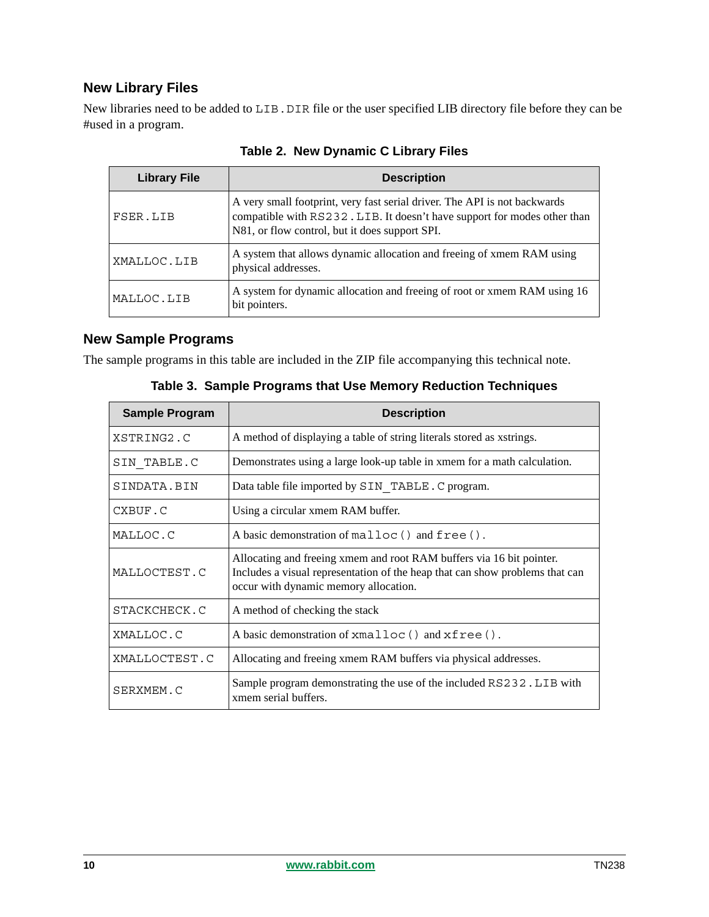# **New Library Files**

New libraries need to be added to LIB. DIR file or the user specified LIB directory file before they can be #used in a program.

| <b>Library File</b> | <b>Description</b>                                                                                                                                                                                      |
|---------------------|---------------------------------------------------------------------------------------------------------------------------------------------------------------------------------------------------------|
| FSER.LIB            | A very small footprint, very fast serial driver. The API is not backwards<br>compatible with RS232. LIB. It doesn't have support for modes other than<br>N81, or flow control, but it does support SPI. |
| XMALLOC.LIB         | A system that allows dynamic allocation and freeing of xmem RAM using<br>physical addresses.                                                                                                            |
| MALLOC.LIB          | A system for dynamic allocation and freeing of root or xmem RAM using 16<br>bit pointers.                                                                                                               |

**Table 2. New Dynamic C Library Files**

# **New Sample Programs**

The sample programs in this table are included in the ZIP file accompanying this technical note.

| <b>Sample Program</b> | <b>Description</b>                                                                                                                                                                            |  |
|-----------------------|-----------------------------------------------------------------------------------------------------------------------------------------------------------------------------------------------|--|
| XSTRING2.C            | A method of displaying a table of string literals stored as xstrings.                                                                                                                         |  |
| SIN TABLE.C           | Demonstrates using a large look-up table in xmem for a math calculation.                                                                                                                      |  |
| SINDATA.BIN           | Data table file imported by SIN TABLE. C program.                                                                                                                                             |  |
| CXBUF.C               | Using a circular xmem RAM buffer.                                                                                                                                                             |  |
| MALLOC.C              | A basic demonstration of malloc() and free().                                                                                                                                                 |  |
| MALLOCTEST.C          | Allocating and freeing xmem and root RAM buffers via 16 bit pointer.<br>Includes a visual representation of the heap that can show problems that can<br>occur with dynamic memory allocation. |  |
| STACKCHECK.C          | A method of checking the stack                                                                                                                                                                |  |
| XMALLOC.C             | A basic demonstration of xmalloc() and xfree().                                                                                                                                               |  |
| XMALLOCTEST.C         | Allocating and freeing xmem RAM buffers via physical addresses.                                                                                                                               |  |
| SERXMEM C             | Sample program demonstrating the use of the included RS232. LIB with<br>xmem serial buffers.                                                                                                  |  |

**Table 3. Sample Programs that Use Memory Reduction Techniques**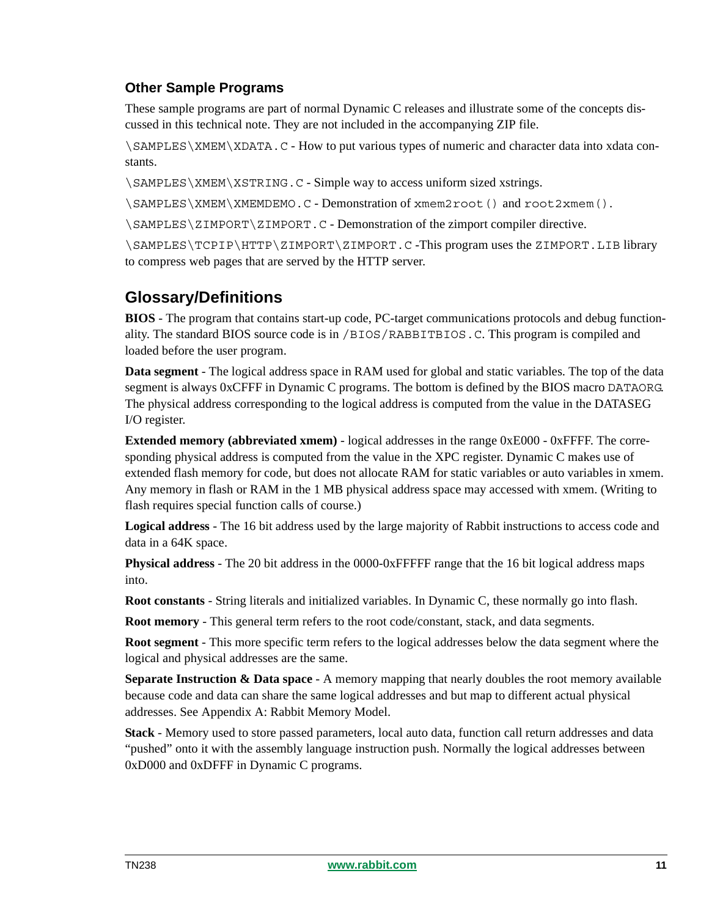# **Other Sample Programs**

These sample programs are part of normal Dynamic C releases and illustrate some of the concepts discussed in this technical note. They are not included in the accompanying ZIP file.

\SAMPLES\XMEM\XDATA.C - How to put various types of numeric and character data into xdata constants.

\SAMPLES\XMEM\XSTRING.C - Simple way to access uniform sized xstrings.

\SAMPLES\XMEM\XMEMDEMO.C - Demonstration of xmem2root() and root2xmem().

\SAMPLES\ZIMPORT\ZIMPORT.C - Demonstration of the zimport compiler directive.

\SAMPLES\TCPIP\HTTP\ZIMPORT\ZIMPORT.C -This program uses the ZIMPORT.LIB library to compress web pages that are served by the HTTP server.

# <span id="page-10-0"></span>**Glossary/Definitions**

**BIOS** - The program that contains start-up code, PC-target communications protocols and debug functionality. The standard BIOS source code is in /BIOS/RABBITBIOS.C. This program is compiled and loaded before the user program.

**Data segment** - The logical address space in RAM used for global and static variables. The top of the data segment is always 0xCFFF in Dynamic C programs. The bottom is defined by the BIOS macro DATAORG. The physical address corresponding to the logical address is computed from the value in the DATASEG I/O register.

**Extended memory (abbreviated xmem)** - logical addresses in the range 0xE000 - 0xFFFF. The corresponding physical address is computed from the value in the XPC register. Dynamic C makes use of extended flash memory for code, but does not allocate RAM for static variables or auto variables in xmem. Any memory in flash or RAM in the 1 MB physical address space may accessed with xmem. (Writing to flash requires special function calls of course.)

**Logical address** - The 16 bit address used by the large majority of Rabbit instructions to access code and data in a 64K space.

**Physical address** - The 20 bit address in the 0000-0xFFFFF range that the 16 bit logical address maps into.

**Root constants** - String literals and initialized variables. In Dynamic C, these normally go into flash.

**Root memory** - This general term refers to the root code/constant, stack, and data segments.

**Root segment** - This more specific term refers to the logical addresses below the data segment where the logical and physical addresses are the same.

**Separate Instruction & Data space** - A memory mapping that nearly doubles the root memory available because code and data can share the same logical addresses and but map to different actual physical addresses. See [Appendix A: Rabbit Memory Model.](#page-12-0)

**Stack** - Memory used to store passed parameters, local auto data, function call return addresses and data "pushed" onto it with the assembly language instruction push. Normally the logical addresses between 0xD000 and 0xDFFF in Dynamic C programs.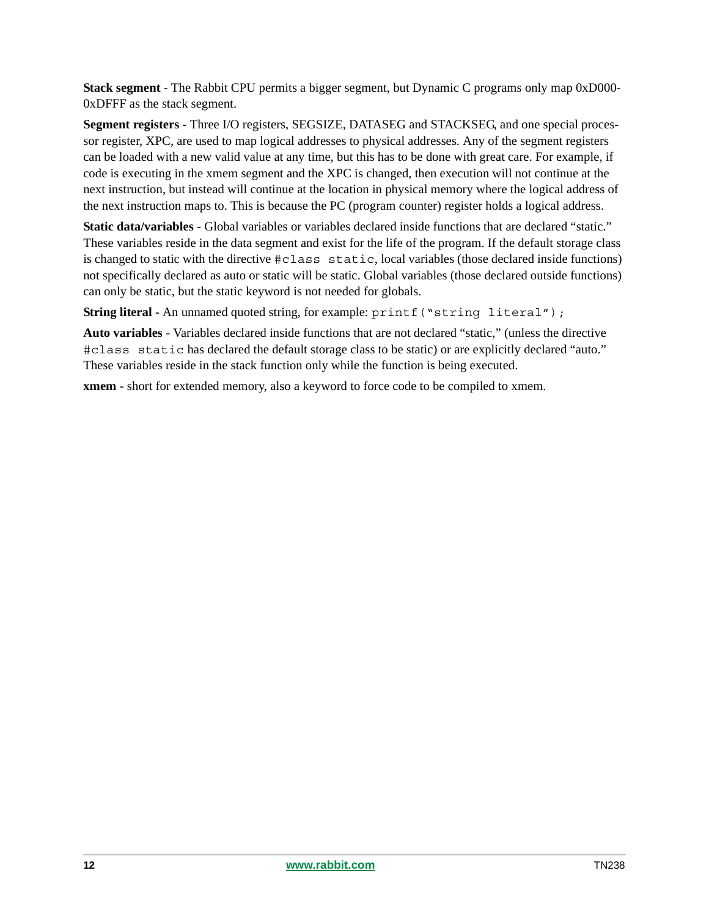**Stack segment** - The Rabbit CPU permits a bigger segment, but Dynamic C programs only map 0xD000- 0xDFFF as the stack segment.

**Segment registers** - Three I/O registers, SEGSIZE, DATASEG and STACKSEG, and one special processor register, XPC, are used to map logical addresses to physical addresses. Any of the segment registers can be loaded with a new valid value at any time, but this has to be done with great care. For example, if code is executing in the xmem segment and the XPC is changed, then execution will not continue at the next instruction, but instead will continue at the location in physical memory where the logical address of the next instruction maps to. This is because the PC (program counter) register holds a logical address.

**Static data/variables** - Global variables or variables declared inside functions that are declared "static." These variables reside in the data segment and exist for the life of the program. If the default storage class is changed to static with the directive #class static, local variables (those declared inside functions) not specifically declared as auto or static will be static. Global variables (those declared outside functions) can only be static, but the static keyword is not needed for globals.

**String literal** - An unnamed quoted string, for example:  $print$  ("string literal");

**Auto variables** - Variables declared inside functions that are not declared "static," (unless the directive #class static has declared the default storage class to be static) or are explicitly declared "auto." These variables reside in the stack function only while the function is being executed.

**xmem** - short for extended memory, also a keyword to force code to be compiled to xmem.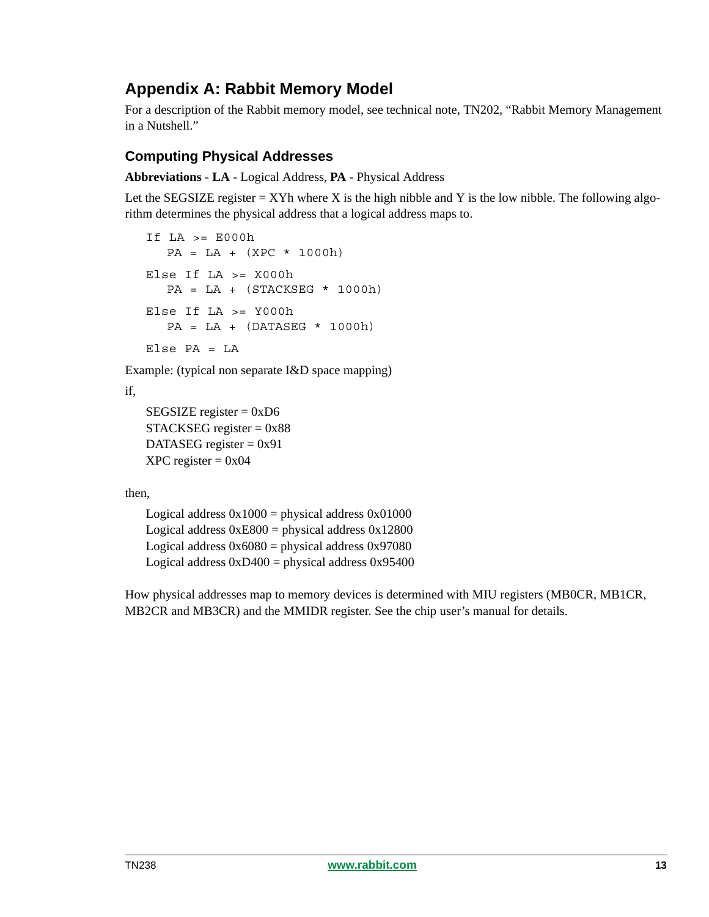# <span id="page-12-0"></span>**Appendix A: Rabbit Memory Model**

For a description of the Rabbit memory model, see technical note, TN202, "Rabbit Memory Management in a Nutshell."

# **Computing Physical Addresses**

**Abbreviations** - **LA** - Logical Address, **PA** - Physical Address

Let the SEGSIZE register  $= XYh$  where X is the high nibble and Y is the low nibble. The following algorithm determines the physical address that a logical address maps to.

```
If LA \geq E000hPA = LA + (XPC * 1000h)Else If LA >= X000h
  PA = LA + (STACKSEG * 1000h)Else If LA >= Y000h
  PA = LA + (DATASEG * 1000h)Else PA = LA
```
Example: (typical non separate I&D space mapping)

if,

```
SEGSIZE register = 0xD6
STACKSEG register = 0x88DATASEG register = 0x91XPC register = 0x04
```
then,

Logical address  $0x1000 =$  physical address  $0x01000$ Logical address  $0xE800 =$  physical address  $0x12800$ Logical address  $0x6080$  = physical address  $0x97080$ Logical address  $0xD400 =$  physical address  $0x95400$ 

How physical addresses map to memory devices is determined with MIU registers (MB0CR, MB1CR, MB2CR and MB3CR) and the MMIDR register. See the chip user's manual for details.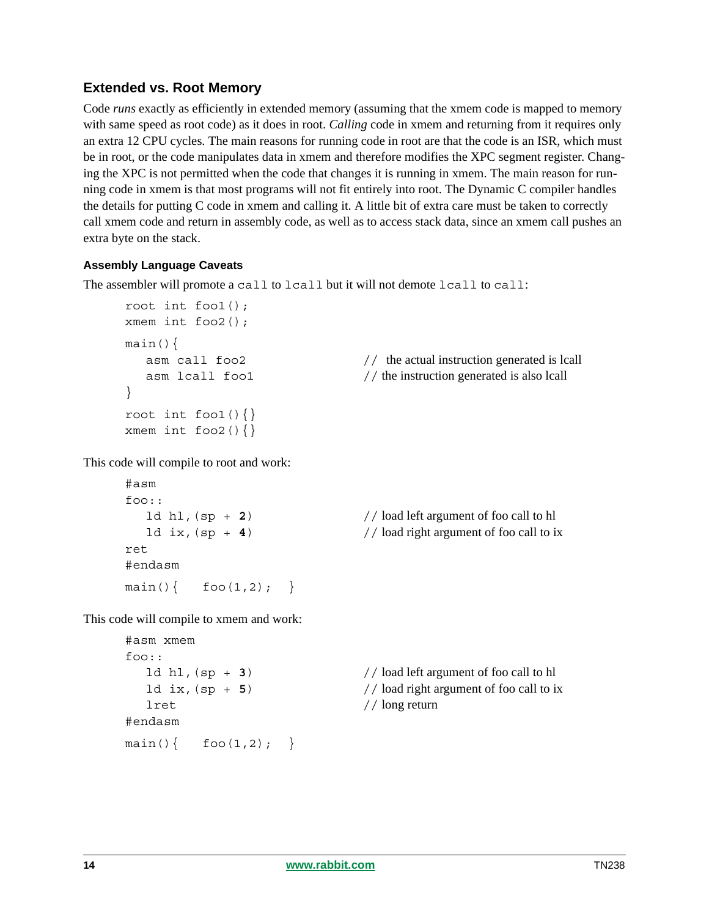# **Extended vs. Root Memory**

Code *runs* exactly as efficiently in extended memory (assuming that the xmem code is mapped to memory with same speed as root code) as it does in root. *Calling* code in xmem and returning from it requires only an extra 12 CPU cycles. The main reasons for running code in root are that the code is an ISR, which must be in root, or the code manipulates data in xmem and therefore modifies the XPC segment register. Changing the XPC is not permitted when the code that changes it is running in xmem. The main reason for running code in xmem is that most programs will not fit entirely into root. The Dynamic C compiler handles the details for putting C code in xmem and calling it. A little bit of extra care must be taken to correctly call xmem code and return in assembly code, as well as to access stack data, since an xmem call pushes an extra byte on the stack.

#### **Assembly Language Caveats**

The assembler will promote a call to lcall but it will not demote lcall to call:

```
root int foo1();
xmem int foo2();
main(){
}
root int fool()\{\}xmem int foo2()\{\}
```
asm call  $f \circ 2$  // the actual instruction generated is lcall asm lcall fool  $//$  the instruction generated is also lcall

This code will compile to root and work:

```
#asm
f \cap \Omega \cdot \cdotret
#endasm
main() \{ \text{foo}(1,2); \}
```
ld hl,(sp + **2**) // load left argument of foo call to hl 1d ix,  $(sp + 4)$  // load right argument of foo call to ix

This code will compile to xmem and work:

```
#asm xmem
foo::
  lret // long return
#endasm
main() \{ \text{foo}(1,2); \}
```
ld hl,(sp + **3**) // load left argument of foo call to hl  $ld$  ix,  $(sp + 5)$  // load right argument of foo call to ix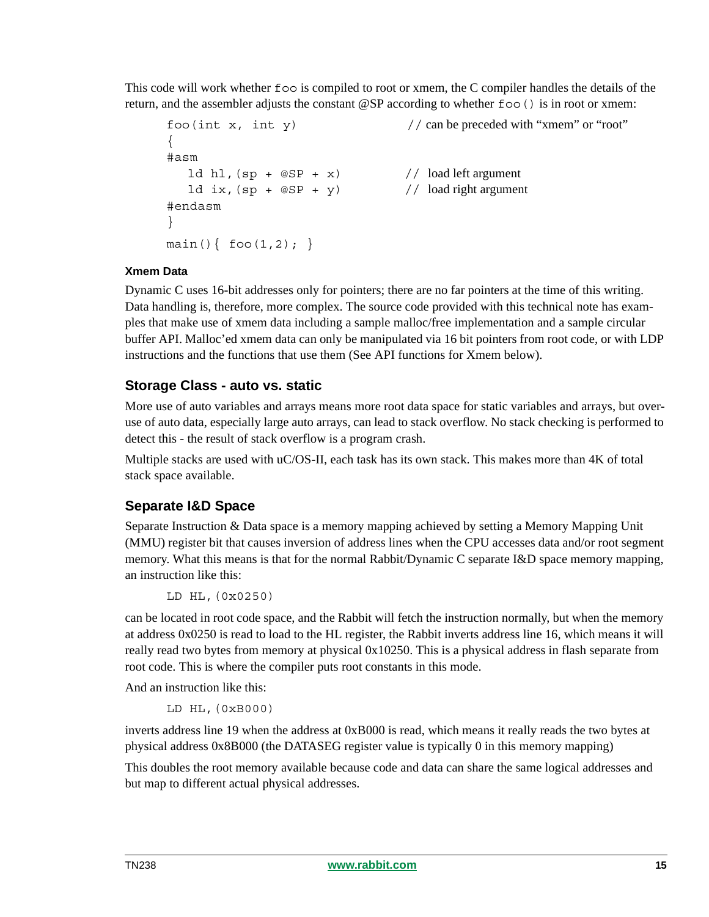This code will work whether foo is compiled to root or xmem, the C compiler handles the details of the return, and the assembler adjusts the constant  $\mathcal{Q}SP$  according to whether  $f \circ \circ$  () is in root or xmem:

```
f \circ \circ (int x, int y) // can be preceded with "xmem" or "root"
{
#asm
  1d hl, (sp + @SP + x) // load left argument
  ld ix, (sp + @SP + y) // load right argument
#endasm
}
main() \{ foo(1,2); \}
```
#### **Xmem Data**

Dynamic C uses 16-bit addresses only for pointers; there are no far pointers at the time of this writing. Data handling is, therefore, more complex. The source code provided with this technical note has examples that make use of xmem data including a sample malloc/free implementation and a sample circular buffer API. Malloc'ed xmem data can only be manipulated via 16 bit pointers from root code, or with LDP instructions and the functions that use them (See API functions for Xmem below).

#### **Storage Class - auto vs. static**

More use of auto variables and arrays means more root data space for static variables and arrays, but overuse of auto data, especially large auto arrays, can lead to stack overflow. No stack checking is performed to detect this - the result of stack overflow is a program crash.

Multiple stacks are used with uC/OS-II, each task has its own stack. This makes more than 4K of total stack space available.

# **Separate I&D Space**

Separate Instruction & Data space is a memory mapping achieved by setting a Memory Mapping Unit (MMU) register bit that causes inversion of address lines when the CPU accesses data and/or root segment memory. What this means is that for the normal Rabbit/Dynamic C separate I&D space memory mapping, an instruction like this:

```
LD HL,(0x0250)
```
can be located in root code space, and the Rabbit will fetch the instruction normally, but when the memory at address 0x0250 is read to load to the HL register, the Rabbit inverts address line 16, which means it will really read two bytes from memory at physical 0x10250. This is a physical address in flash separate from root code. This is where the compiler puts root constants in this mode.

And an instruction like this:

LD HL,(0xB000)

inverts address line 19 when the address at 0xB000 is read, which means it really reads the two bytes at physical address 0x8B000 (the DATASEG register value is typically 0 in this memory mapping)

This doubles the root memory available because code and data can share the same logical addresses and but map to different actual physical addresses.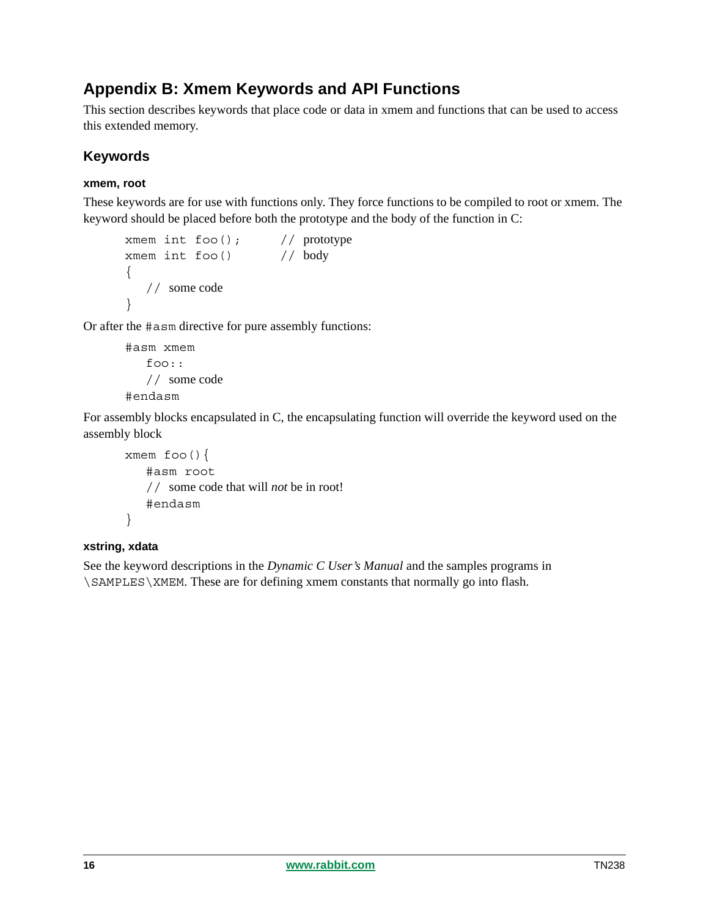# **Appendix B: Xmem Keywords and API Functions**

This section describes keywords that place code or data in xmem and functions that can be used to access this extended memory.

# **Keywords**

## **xmem, root**

These keywords are for use with functions only. They force functions to be compiled to root or xmem. The keyword should be placed before both the prototype and the body of the function in C:

```
xmem int foo(); // prototype
xmem int foo() // body
{
  // some code
}
```
Or after the #asm directive for pure assembly functions:

```
#asm xmem
   foo::
  // some code
#endasm
```
For assembly blocks encapsulated in C, the encapsulating function will override the keyword used on the assembly block

```
xmem foo(){
   #asm root
   // some code that will not be in root!
   #endasm
}
```
#### **xstring, xdata**

See the keyword descriptions in the *Dynamic C User's Manual* and the samples programs in \SAMPLES\XMEM. These are for defining xmem constants that normally go into flash.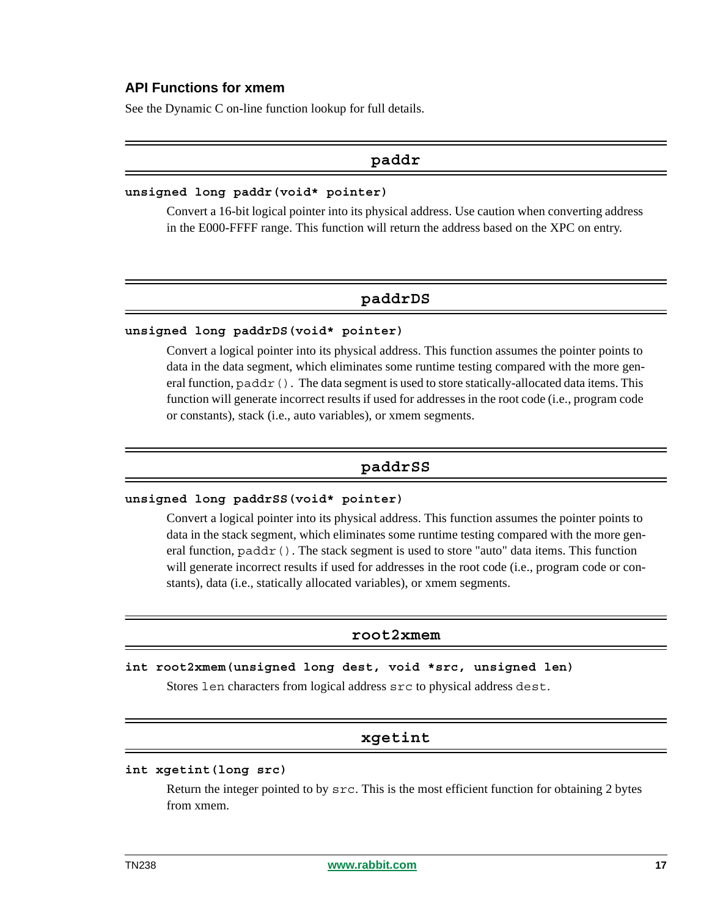#### **API Functions for xmem**

See the Dynamic C on-line function lookup for full details.

#### **paddr**

#### **unsigned long paddr(void\* pointer)**

Convert a 16-bit logical pointer into its physical address. Use caution when converting address in the E000-FFFF range. This function will return the address based on the XPC on entry.

# **paddrDS**

#### **unsigned long paddrDS(void\* pointer)**

Convert a logical pointer into its physical address. This function assumes the pointer points to data in the data segment, which eliminates some runtime testing compared with the more general function,  $\text{paddr}($ ). The data segment is used to store statically-allocated data items. This function will generate incorrect results if used for addresses in the root code (i.e., program code or constants), stack (i.e., auto variables), or xmem segments.

#### **paddrSS**

#### **unsigned long paddrSS(void\* pointer)**

Convert a logical pointer into its physical address. This function assumes the pointer points to data in the stack segment, which eliminates some runtime testing compared with the more general function,  $\text{paddr}()$ . The stack segment is used to store "auto" data items. This function will generate incorrect results if used for addresses in the root code (i.e., program code or constants), data (i.e., statically allocated variables), or xmem segments.

#### **root2xmem**

#### **int root2xmem(unsigned long dest, void \*src, unsigned len)**

Stores len characters from logical address src to physical address dest.

## **xgetint**

#### **int xgetint(long src)**

Return the integer pointed to by src. This is the most efficient function for obtaining 2 bytes from xmem.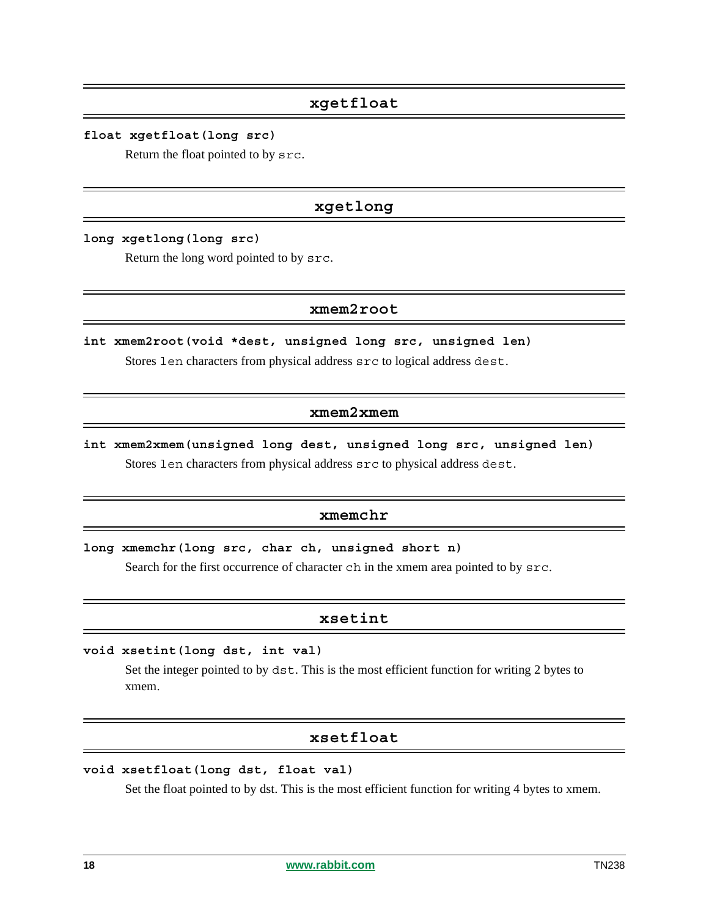## **xgetfloat**

**float xgetfloat(long src)** 

Return the float pointed to by src.

# **xgetlong**

**long xgetlong(long src)** 

Return the long word pointed to by src.

#### **xmem2root**

**int xmem2root(void \*dest, unsigned long src, unsigned len)** Stores len characters from physical address src to logical address dest.

#### **xmem2xmem**

**int xmem2xmem(unsigned long dest, unsigned long src, unsigned len)** Stores len characters from physical address src to physical address dest.

# **xmemchr**

**long xmemchr(long src, char ch, unsigned short n)** 

Search for the first occurrence of character ch in the xmem area pointed to by src.

# **xsetint**

#### **void xsetint(long dst, int val)**

Set the integer pointed to by dst. This is the most efficient function for writing 2 bytes to xmem.

# **xsetfloat**

#### **void xsetfloat(long dst, float val)**

Set the float pointed to by dst. This is the most efficient function for writing 4 bytes to xmem.